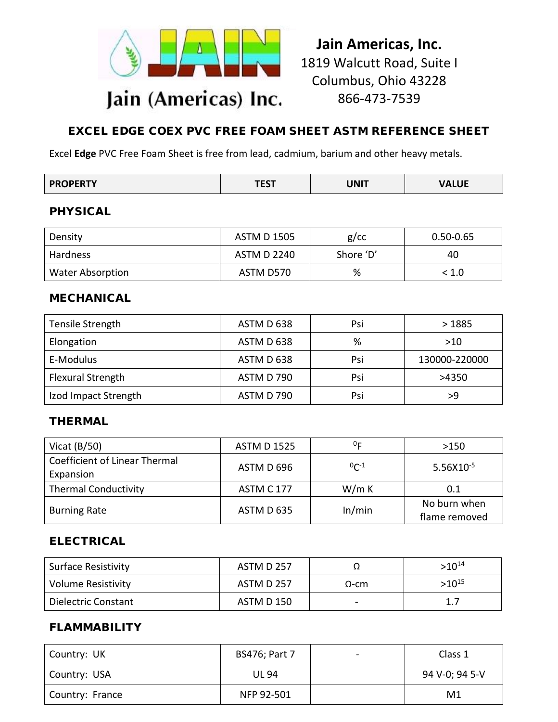

**Jain Americas, Inc.** 1819 Walcutt Road, Suite I Columbus, Ohio 43228 866-473-7539

# EXCEL EDGE COEX PVC FREE FOAM SHEET ASTM REFERENCE SHEET

Excel **Edge** PVC Free Foam Sheet is free from lead, cadmium, barium and other heavy metals.

| <b>PROPERTY</b> | <b>TCCT</b> |             |              |
|-----------------|-------------|-------------|--------------|
|                 | ESI         | <b>UNIT</b> | <b>VALUE</b> |

#### PHYSICAL

| Density                 | ASTM D 1505        | $g$ / $cc$ | $0.50 - 0.65$ |
|-------------------------|--------------------|------------|---------------|
| Hardness                | <b>ASTM D 2240</b> | Shore 'D'  | 40            |
| <b>Water Absorption</b> | ASTM D570          | %          | < 1.0         |

#### MECHANICAL

| Tensile Strength     | ASTM D 638        | Psi | >1885         |
|----------------------|-------------------|-----|---------------|
| Elongation           | ASTM D 638        | %   | >10           |
| E-Modulus            | ASTM D 638        | Psi | 130000-220000 |
| Flexural Strength    | ASTM D 790        | Psi | >4350         |
| Izod Impact Strength | <b>ASTM D 790</b> | Psi | >9            |

## THERMAL

| Vicat $(B/50)$                | <b>ASTM D 1525</b>   | 0г           | >150           |
|-------------------------------|----------------------|--------------|----------------|
| Coefficient of Linear Thermal | ASTM D 696           | $0^{-1}$     | $5.56X10^{-5}$ |
| Expansion                     |                      |              |                |
| <b>Thermal Conductivity</b>   | <b>ASTM C 177</b>    | W/m K        | 0.1            |
| <b>Burning Rate</b>           | In/min<br>ASTM D 635 | No burn when |                |
|                               |                      |              | flame removed  |

## ELECTRICAL

| <b>Surface Resistivity</b> | ASTM D 257 |              | $>10^{14}$ |
|----------------------------|------------|--------------|------------|
| Volume Resistivity         | ASTM D 257 | $\Omega$ -cm | $>10^{15}$ |
| Dielectric Constant        | ASTM D 150 |              | 1.7        |

## FLAMMABILITY

| Country: UK     | <b>BS476; Part 7</b> | Class 1        |
|-----------------|----------------------|----------------|
| I Country: USA  | <b>UL 94</b>         | 94 V-0; 94 5-V |
| Country: France | NFP 92-501           | M1             |